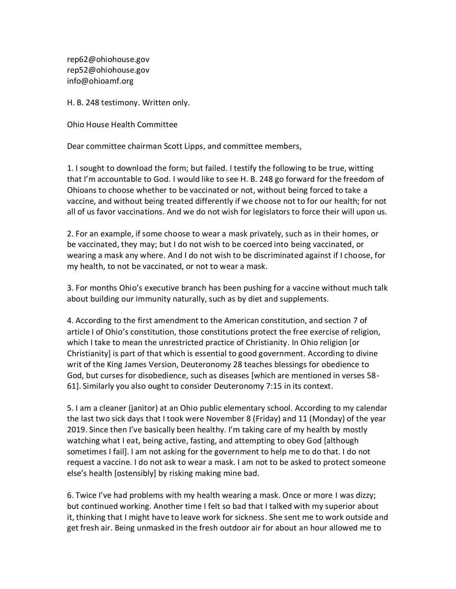rep62@ohiohouse.gov rep52@ohiohouse.gov info@ohioamf.org

H. B. 248 testimony. Written only.

Ohio House Health Committee

Dear committee chairman Scott Lipps, and committee members,

1. I sought to download the form; but failed. I testify the following to be true, witting that I'm accountable to God. I would like to see H. B. 248 go forward for the freedom of Ohioans to choose whether to be vaccinated or not, without being forced to take a vaccine, and without being treated differently if we choose not to for our health; for not all of us favor vaccinations. And we do not wish for legislators to force their will upon us.

2. For an example, if some choose to wear a mask privately, such as in their homes, or be vaccinated, they may; but I do not wish to be coerced into being vaccinated, or wearing a mask any where. And I do not wish to be discriminated against if I choose, for my health, to not be vaccinated, or not to wear a mask.

3. For months Ohio's executive branch has been pushing for a vaccine without much talk about building our immunity naturally, such as by diet and supplements.

4. According to the first amendment to the American constitution, and section 7 of article I of Ohio's constitution, those constitutions protect the free exercise of religion, which I take to mean the unrestricted practice of Christianity. In Ohio religion [or Christianity] is part of that which is essential to good government. According to divine writ of the King James Version, Deuteronomy 28 teaches blessings for obedience to God, but curses for disobedience, such as diseases [which are mentioned in verses 58- 61]. Similarly you also ought to consider Deuteronomy 7:15 in its context.

5. I am a cleaner (janitor) at an Ohio public elementary school. According to my calendar the last two sick days that I took were November 8 (Friday) and 11 (Monday) of the year 2019. Since then I've basically been healthy. I'm taking care of my health by mostly watching what I eat, being active, fasting, and attempting to obey God [although sometimes I fail]. I am not asking for the government to help me to do that. I do not request a vaccine. I do not ask to wear a mask. I am not to be asked to protect someone else's health [ostensibly] by risking making mine bad.

6. Twice I've had problems with my health wearing a mask. Once or more I was dizzy; but continued working. Another time I felt so bad that I talked with my superior about it, thinking that I might have to leave work for sickness. She sent me to work outside and get fresh air. Being unmasked in the fresh outdoor air for about an hour allowed me to